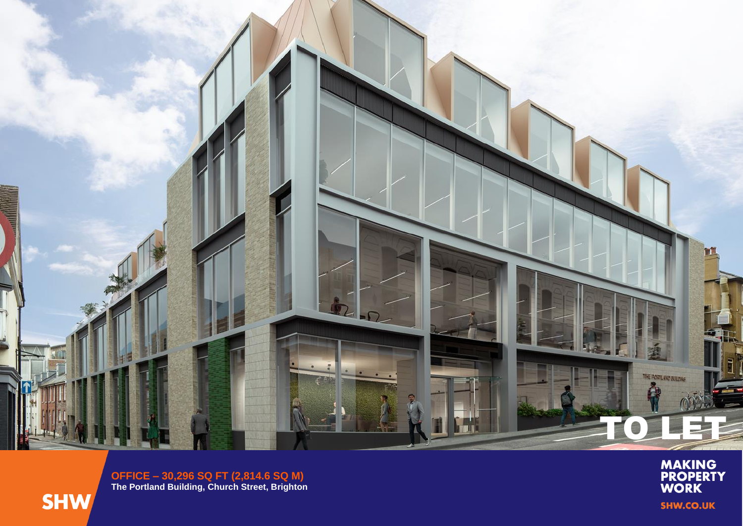

**OFFICE – 30,296 SQ FT (2,814.6 SQ M ) The Portland Building, Church Street, Brighton**



**MAKING<br>PROPERTY<br>WORK SHW.CO.UK**